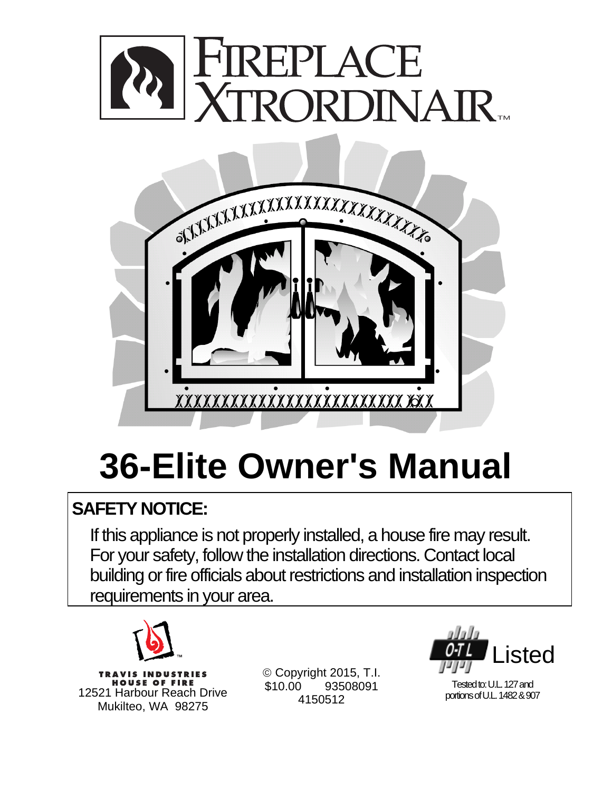



# **36-Elite Owner's Manual**

## **SAFETY NOTICE:**

If this appliance is not properly installed, a house fire may result. For your safety, follow the installation directions. Contact local building or fire officials about restrictions and installation inspection requirements in your area.



**TRAVIS INDUSTRIES HOUSE OF FIRE** 12521 Harbour Reach Drive Mukilteo, WA 98275

 Copyright 2015, T.I. \$10.00 93508091 4150512



Tested to: U.L. 127 and portions of U.L. 1482 & 907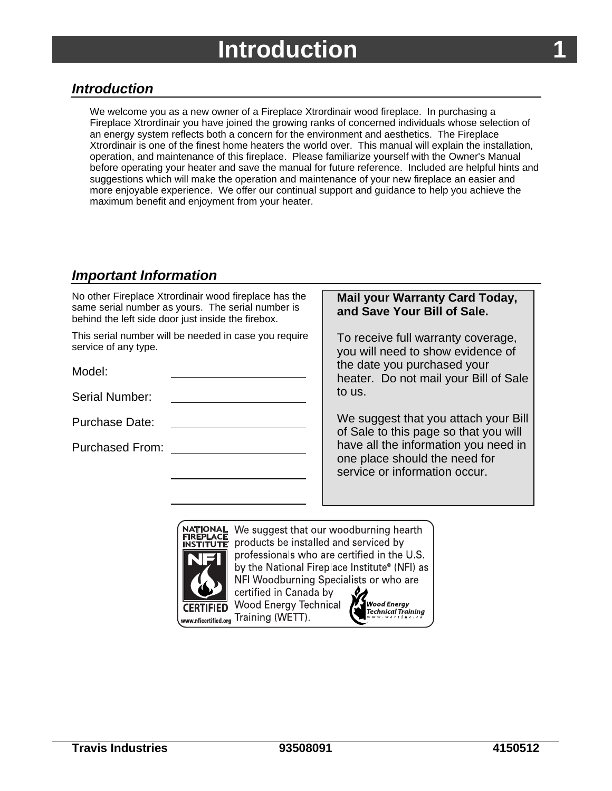## **Introduction**

## <span id="page-2-0"></span>*Introduction*

We welcome you as a new owner of a Fireplace Xtrordinair wood fireplace. In purchasing a Fireplace Xtrordinair you have joined the growing ranks of concerned individuals whose selection of an energy system reflects both a concern for the environment and aesthetics. The Fireplace Xtrordinair is one of the finest home heaters the world over. This manual will explain the installation, operation, and maintenance of this fireplace. Please familiarize yourself with the Owner's Manual before operating your heater and save the manual for future reference. Included are helpful hints and suggestions which will make the operation and maintenance of your new fireplace an easier and more enjoyable experience. We offer our continual support and guidance to help you achieve the maximum benefit and enjoyment from your heater.

## *Important Information*

| No other Fireplace Xtrordinair wood fireplace has the<br>same serial number as yours. The serial number is<br>behind the left side door just inside the firebox. | <b>Mail your Warranty Card Today,</b><br>and Save Your Bill of Sale.                                   |
|------------------------------------------------------------------------------------------------------------------------------------------------------------------|--------------------------------------------------------------------------------------------------------|
| This serial number will be needed in case you require<br>service of any type.                                                                                    | To receive full warranty coverage,<br>you will need to show evidence of                                |
| Model:                                                                                                                                                           | the date you purchased your<br>heater. Do not mail your Bill of Sale                                   |
| <b>Serial Number:</b>                                                                                                                                            | to us.                                                                                                 |
| Purchase Date:                                                                                                                                                   | We suggest that you attach your Bill<br>of Sale to this page so that you will                          |
| <b>Purchased From:</b>                                                                                                                                           | have all the information you need in<br>one place should the need for<br>service or information occur. |
|                                                                                                                                                                  |                                                                                                        |



We suggest that our woodburning hearth products be installed and serviced by professionals who are certified in the U.S. by the National Fireplace Institute® (NFI) as NFI Woodburning Specialists or who are certified in Canada by Wood Energy Technical

Training (WETT).

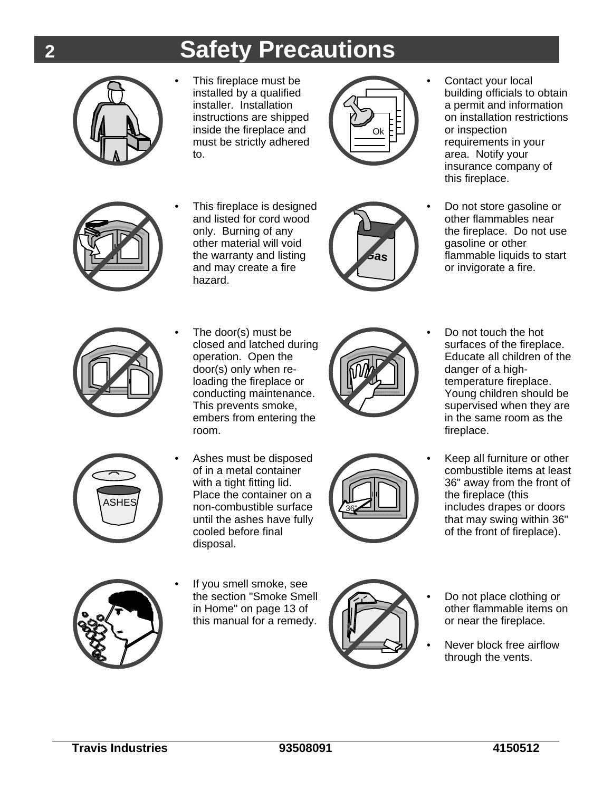## **2 Safety Precautions**



• This fireplace must be installed by a qualified installer. Installation instructions are shipped inside the fireplace and must be strictly adhered to.



• Contact your local building officials to obtain a permit and information on installation restrictions or inspection requirements in your area. Notify your insurance company of this fireplace.



This fireplace is designed and listed for cord wood only. Burning of any other material will void the warranty and listing and may create a fire hazard.



• Do not store gasoline or other flammables near the fireplace. Do not use gasoline or other flammable liquids to start or invigorate a fire.



• The door(s) must be closed and latched during operation. Open the door(s) only when reloading the fireplace or conducting maintenance. This prevents smoke, embers from entering the room.



• Do not touch the hot surfaces of the fireplace. Educate all children of the danger of a hightemperature fireplace. Young children should be supervised when they are in the same room as the fireplace.



• Ashes must be disposed of in a metal container with a tight fitting lid. Place the container on a non-combustible surface until the ashes have fully cooled before final disposal.



• Keep all furniture or other combustible items at least 36" away from the front of the fireplace (this includes drapes or doors that may swing within 36" of the front of fireplace).



If you smell smoke, see the section "Smoke Smell in Home" on page 13 of this manual for a remedy.



- Do not place clothing or other flammable items on or near the fireplace.
- Never block free airflow through the vents.

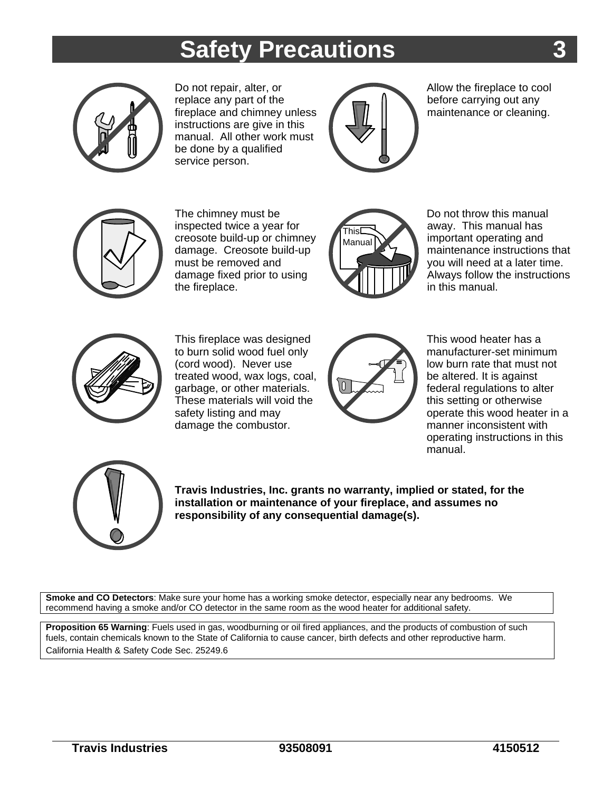## **Safety Precautions**



Do not repair, alter, or replace any part of the fireplace and chimney unless instructions are give in this manual. All other work must be done by a qualified service person.



Allow the fireplace to cool before carrying out any maintenance or cleaning.



The chimney must be inspected twice a year for creosote build-up or chimney damage. Creosote build-up must be removed and damage fixed prior to using the fireplace.



Do not throw this manual away. This manual has important operating and maintenance instructions that you will need at a later time. Always follow the instructions in this manual.



This fireplace was designed to burn solid wood fuel only (cord wood). Never use treated wood, wax logs, coal, garbage, or other materials. These materials will void the safety listing and may damage the combustor.



This wood heater has a manufacturer-set minimum low burn rate that must not be altered. It is against federal regulations to alter this setting or otherwise operate this wood heater in a manner inconsistent with operating instructions in this manual.



**Travis Industries, Inc. grants no warranty, implied or stated, for the installation or maintenance of your fireplace, and assumes no responsibility of any consequential damage(s).**

**Smoke and CO Detectors**: Make sure your home has a working smoke detector, especially near any bedrooms. We recommend having a smoke and/or CO detector in the same room as the wood heater for additional safety.

**Proposition 65 Warning**: Fuels used in gas, woodburning or oil fired appliances, and the products of combustion of such fuels, contain chemicals known to the State of California to cause cancer, birth defects and other reproductive harm. California Health & Safety Code Sec. 25249.6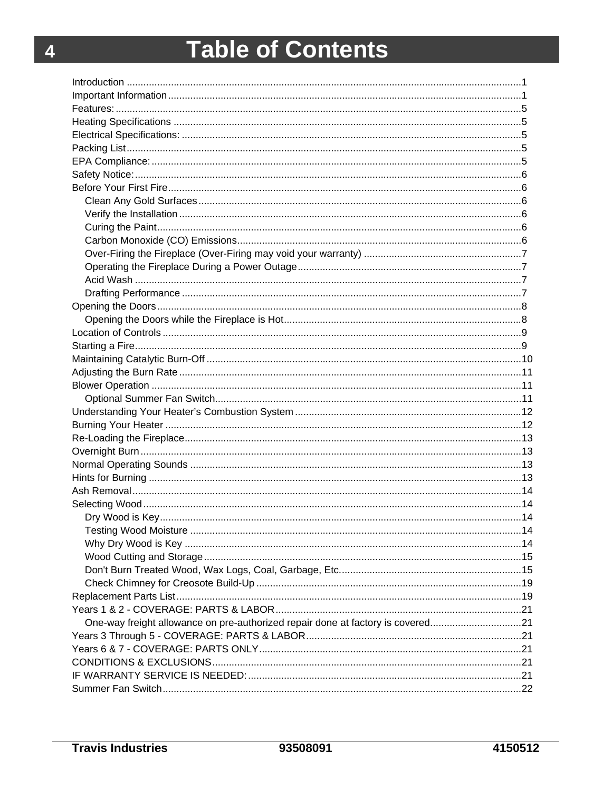## **Table of Contents**

| One-way freight allowance on pre-authorized repair done at factory is covered21 |  |
|---------------------------------------------------------------------------------|--|
|                                                                                 |  |
|                                                                                 |  |
|                                                                                 |  |
|                                                                                 |  |
|                                                                                 |  |
|                                                                                 |  |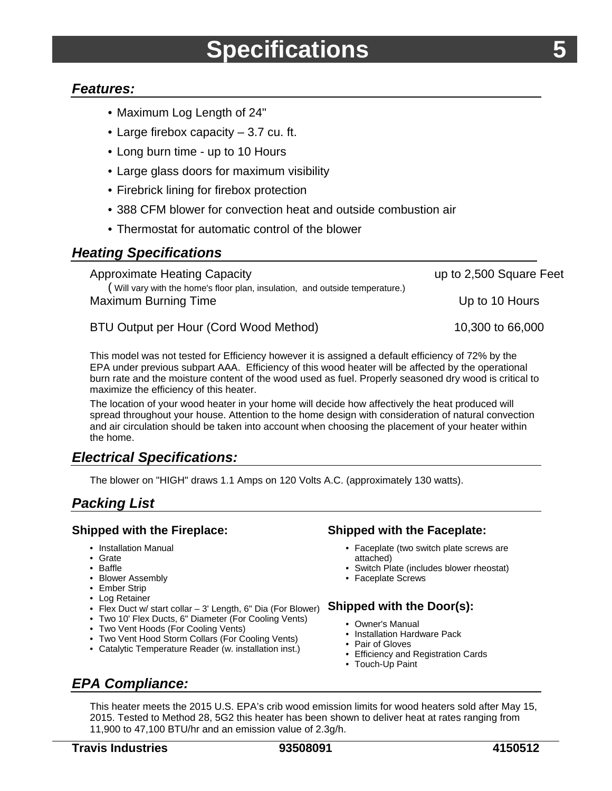### <span id="page-6-0"></span>*Features:*

- Maximum Log Length of 24"
- Large firebox capacity 3.7 cu. ft.
- Long burn time up to 10 Hours
- Large glass doors for maximum visibility
- Firebrick lining for firebox protection
- 388 CFM blower for convection heat and outside combustion air
- Thermostat for automatic control of the blower

### *Heating Specifications*

| <b>Approximate Heating Capacity</b>                                                                        | up to 2,500 Square Feet |  |
|------------------------------------------------------------------------------------------------------------|-------------------------|--|
| Will vary with the home's floor plan, insulation, and outside temperature.)<br><b>Maximum Burning Time</b> | Up to 10 Hours          |  |
| BTU Output per Hour (Cord Wood Method)                                                                     | 10,300 to 66,000        |  |

This model was not tested for Efficiency however it is assigned a default efficiency of 72% by the EPA under previous subpart AAA. Efficiency of this wood heater will be affected by the operational burn rate and the moisture content of the wood used as fuel. Properly seasoned dry wood is critical to maximize the efficiency of this heater.

The location of your wood heater in your home will decide how affectively the heat produced will spread throughout your house. Attention to the home design with consideration of natural convection and air circulation should be taken into account when choosing the placement of your heater within the home.

## *Electrical Specifications:*

The blower on "HIGH" draws 1.1 Amps on 120 Volts A.C. (approximately 130 watts).

## *Packing List*

#### **Shipped with the Fireplace:**

- Installation Manual
- Grate
- Baffle
- Blower Assembly
- Ember Strip
- Log Retainer
- Elex Duct w/ start collar 3' Length, 6" Dia (For Blower) **Shipped with the Door(s):**
- Two 10' Flex Ducts, 6" Diameter (For Cooling Vents)
- Two Vent Hoods (For Cooling Vents)
- Two Vent Hood Storm Collars (For Cooling Vents)
- Catalytic Temperature Reader (w. installation inst.)

#### **Shipped with the Faceplate:**

- Faceplate (two switch plate screws are attached)
- Switch Plate (includes blower rheostat)
- Faceplate Screws

- Owner's Manual
- Installation Hardware Pack
- Pair of Gloves
- Efficiency and Registration Cards
- Touch-Up Paint

#### This heater meets the 2015 U.S. EPA's crib wood emission limits for wood heaters sold after May 15, 2015. Tested to Method 28, 5G2 this heater has been shown to deliver heat at rates ranging from 11,900 to 47,100 BTU/hr and an emission value of 2.3g/h.

*EPA Compliance:*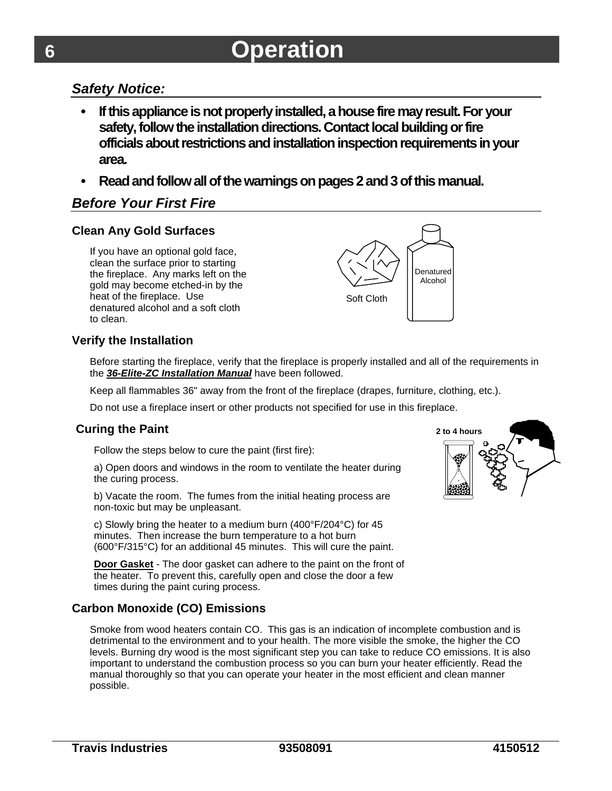## *Safety Notice:*

- **If this appliance is not properly installed, a house fire may result. For your safety, follow the installation directions. Contact local building or fire officials about restrictions and installation inspection requirements in your area.**
- **Read and follow all of the warnings on pages 2 and 3 of this manual.**

## *Before Your First Fire*

#### **Clean Any Gold Surfaces**

If you have an optional gold face, clean the surface prior to starting the fireplace. Any marks left on the gold may become etched-in by the heat of the fireplace. Use denatured alcohol and a soft cloth to clean.



### **Verify the Installation**

Before starting the fireplace, verify that the fireplace is properly installed and all of the requirements in the *36-Elite-ZC Installation Manual* have been followed.

Keep all flammables 36" away from the front of the fireplace (drapes, furniture, clothing, etc.).

Do not use a fireplace insert or other products not specified for use in this fireplace.

### **Curing the Paint**

Follow the steps below to cure the paint (first fire):

a) Open doors and windows in the room to ventilate the heater during the curing process.

b) Vacate the room. The fumes from the initial heating process are non-toxic but may be unpleasant.

c) Slowly bring the heater to a medium burn (400°F/204°C) for 45 minutes. Then increase the burn temperature to a hot burn (600°F/315°C) for an additional 45 minutes. This will cure the paint.

**Door Gasket** - The door gasket can adhere to the paint on the front of the heater. To prevent this, carefully open and close the door a few times during the paint curing process.

## **Carbon Monoxide (CO) Emissions**

Smoke from wood heaters contain CO. This gas is an indication of incomplete combustion and is detrimental to the environment and to your health. The more visible the smoke, the higher the CO levels. Burning dry wood is the most significant step you can take to reduce CO emissions. It is also important to understand the combustion process so you can burn your heater efficiently. Read the manual thoroughly so that you can operate your heater in the most efficient and clean manner possible.



<span id="page-7-0"></span>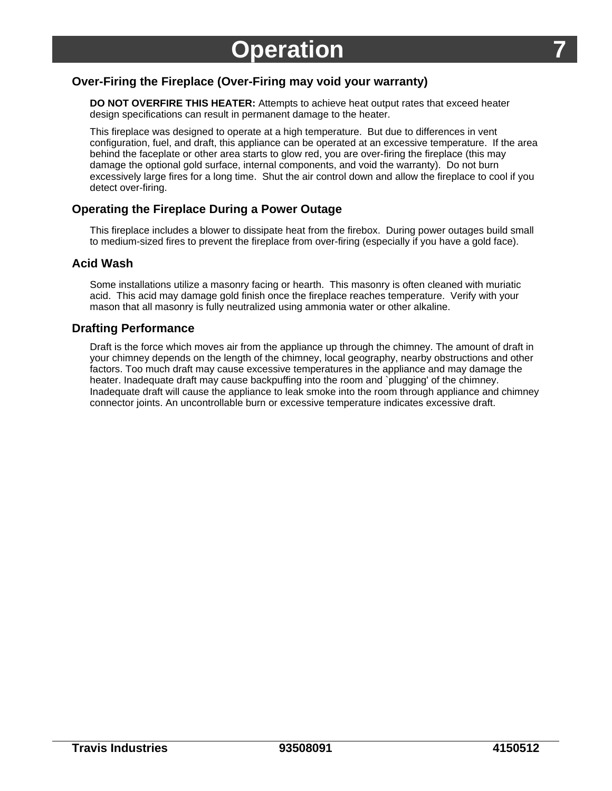### <span id="page-8-0"></span>**Over-Firing the Fireplace (Over-Firing may void your warranty)**

**DO NOT OVERFIRE THIS HEATER:** Attempts to achieve heat output rates that exceed heater design specifications can result in permanent damage to the heater.

This fireplace was designed to operate at a high temperature. But due to differences in vent configuration, fuel, and draft, this appliance can be operated at an excessive temperature. If the area behind the faceplate or other area starts to glow red, you are over-firing the fireplace (this may damage the optional gold surface, internal components, and void the warranty). Do not burn excessively large fires for a long time. Shut the air control down and allow the fireplace to cool if you detect over-firing.

#### **Operating the Fireplace During a Power Outage**

This fireplace includes a blower to dissipate heat from the firebox. During power outages build small to medium-sized fires to prevent the fireplace from over-firing (especially if you have a gold face).

#### **Acid Wash**

Some installations utilize a masonry facing or hearth. This masonry is often cleaned with muriatic acid. This acid may damage gold finish once the fireplace reaches temperature. Verify with your mason that all masonry is fully neutralized using ammonia water or other alkaline.

#### **Drafting Performance**

Draft is the force which moves air from the appliance up through the chimney. The amount of draft in your chimney depends on the length of the chimney, local geography, nearby obstructions and other factors. Too much draft may cause excessive temperatures in the appliance and may damage the heater. Inadequate draft may cause backpuffing into the room and `plugging' of the chimney. Inadequate draft will cause the appliance to leak smoke into the room through appliance and chimney connector joints. An uncontrollable burn or excessive temperature indicates excessive draft.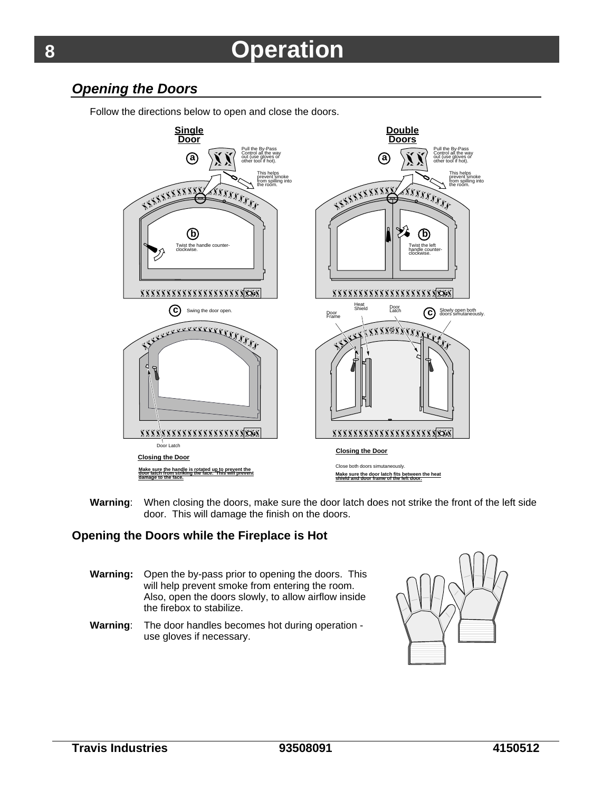## <span id="page-9-0"></span>*Opening the Doors*

**Single Double Door Doors** ull the By-Pas Pull the By-Pass Control all the way Control all the way **a a** out (use gloves or out (use gloves or other tool if hot). other tool if hot). This helps This helps<br>This helps<br>The prevent sm<br>the room.  $\epsilon$ prevent smoke  $\sim$ prevent smoke from spilling into from spilling into *<u>COUCH</u>* the room. the room. **Learn Complete**  $\mathbf{X}^{\mathbf{X}}$ **RACCORDO**  $\prod_{\alpha}$ **b b** Twist the handle counter-Twist the left handle counterclockwise. clockwise.  $|U|$ **XXXXXXXXXXXXXXXXXXXXXX XXXXXXXXXXXXXXXXXXXXX** Heat<br>Shield Door Latch **c** Swing the door open Shield<br>Poor Shield<br>Frame C Slowly open both<br>
doors simutaneously.  $\overrightarrow{rr}$  $\overline{\phantom{a}}$  $\mathbb{Q}_M$  $\frac{1}{2}$  $\overline{\phantom{a}}$  $\overline{\mathbf{v}}$ *KKKKKKKKKKKKKKKKK*  $\frac{1}{2}$  $\frac{1}{2}$ Door Latch **Closing the Door Closing the Door** Close both doors simutaneously. **Make sure the handle is rotated up to prevent the door latch from striking the face. This will prevent damage to the face. Make sure the door latch fits between the heat shield and door frame of the left door.**

Follow the directions below to open and close the doors.

**Warning**: When closing the doors, make sure the door latch does not strike the front of the left side door. This will damage the finish on the doors.

#### **Opening the Doors while the Fireplace is Hot**

- **Warning:** Open the by-pass prior to opening the doors. This will help prevent smoke from entering the room. Also, open the doors slowly, to allow airflow inside the firebox to stabilize.
- **Warning**: The door handles becomes hot during operation use gloves if necessary.

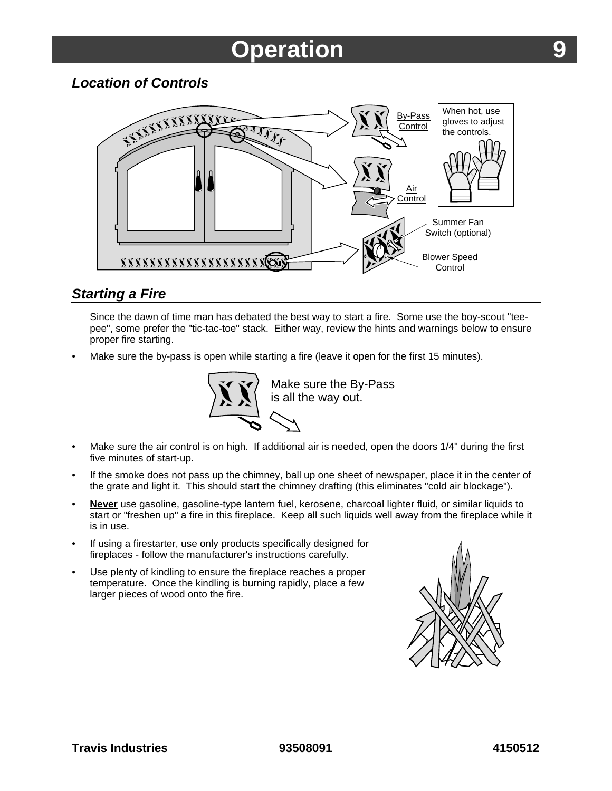<span id="page-10-0"></span>

## *Starting a Fire*

Since the dawn of time man has debated the best way to start a fire. Some use the boy-scout "teepee", some prefer the "tic-tac-toe" stack. Either way, review the hints and warnings below to ensure proper fire starting.

Make sure the by-pass is open while starting a fire (leave it open for the first 15 minutes).



Make sure the By-Pass

- Make sure the air control is on high. If additional air is needed, open the doors 1/4" during the first five minutes of start-up.
- If the smoke does not pass up the chimney, ball up one sheet of newspaper, place it in the center of the grate and light it. This should start the chimney drafting (this eliminates "cold air blockage").
- **Never** use gasoline, gasoline-type lantern fuel, kerosene, charcoal lighter fluid, or similar liquids to start or "freshen up" a fire in this fireplace. Keep all such liquids well away from the fireplace while it is in use.
- If using a firestarter, use only products specifically designed for fireplaces - follow the manufacturer's instructions carefully.
- Use plenty of kindling to ensure the fireplace reaches a proper temperature. Once the kindling is burning rapidly, place a few larger pieces of wood onto the fire.

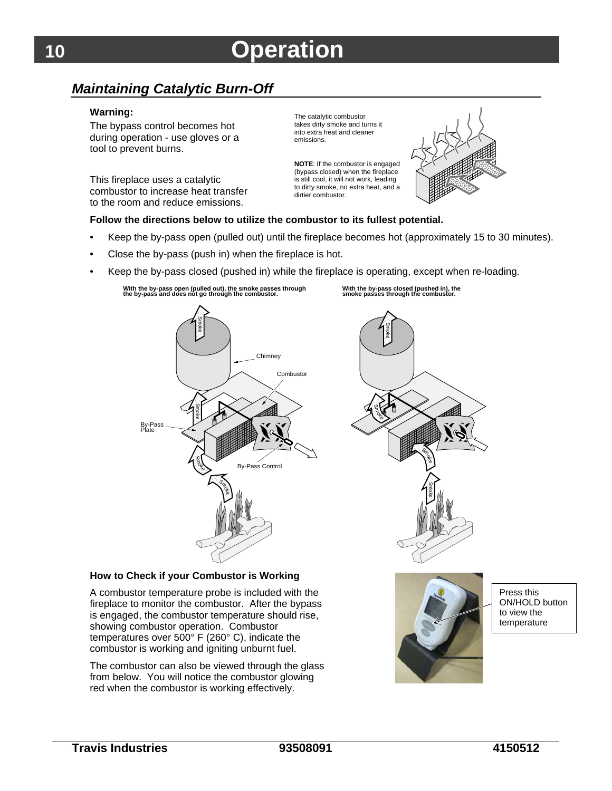## <span id="page-11-0"></span>*Maintaining Catalytic Burn-Off*

#### **Warning:**

The bypass control becomes hot during operation - use gloves or a tool to prevent burns.

This fireplace uses a catalytic combustor to increase heat transfer to the room and reduce emissions.

The catalytic combustor takes dirty smoke and turns it into extra heat and cleaner emissions.

**NOTE**: If the combustor is engaged (bypass closed) when the fireplace is still cool, it will not work, leading to dirty smoke, no extra heat, and a dirtier combustor.



#### **Follow the directions below to utilize the combustor to its fullest potential.**

- Keep the by-pass open (pulled out) until the fireplace becomes hot (approximately 15 to 30 minutes).
- Close the by-pass (push in) when the fireplace is hot.
- Keep the by-pass closed (pushed in) while the fireplace is operating, except when re-loading.



**With the by-pass closed (pushed in), the** 



#### **How to Check if your Combustor is Working**

A combustor temperature probe is included with the fireplace to monitor the combustor. After the bypass is engaged, the combustor temperature should rise, showing combustor operation. Combustor temperatures over 500° F (260° C), indicate the combustor is working and igniting unburnt fuel.

The combustor can also be viewed through the glass from below. You will notice the combustor glowing red when the combustor is working effectively.

Press this ON/HOLD button to view the temperature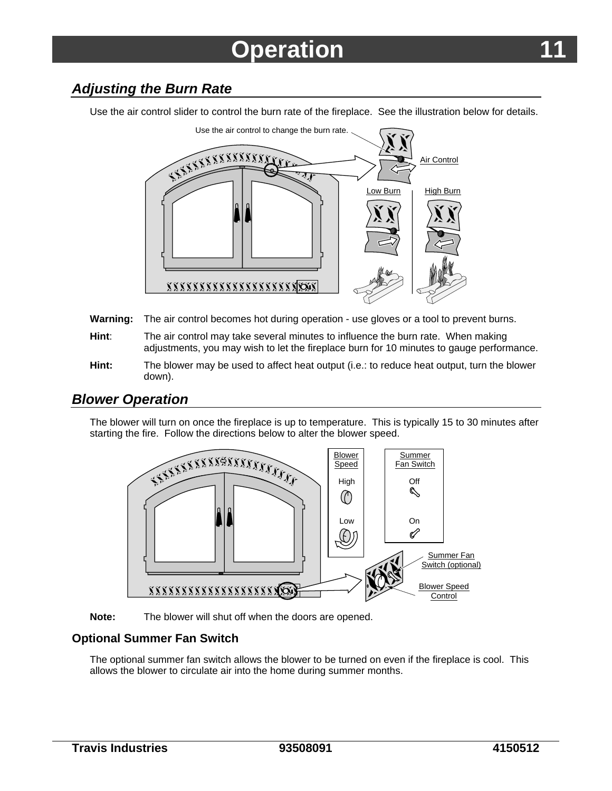## <span id="page-12-0"></span>*Adjusting the Burn Rate*

Use the air control slider to control the burn rate of the fireplace. See the illustration below for details.



- **Warning:** The air control becomes hot during operation use gloves or a tool to prevent burns.
- **Hint**: The air control may take several minutes to influence the burn rate. When making adjustments, you may wish to let the fireplace burn for 10 minutes to gauge performance.
- **Hint:** The blower may be used to affect heat output (i.e.: to reduce heat output, turn the blower down).

## *Blower Operation*

The blower will turn on once the fireplace is up to temperature. This is typically 15 to 30 minutes after starting the fire. Follow the directions below to alter the blower speed.





#### **Optional Summer Fan Switch**

The optional summer fan switch allows the blower to be turned on even if the fireplace is cool. This allows the blower to circulate air into the home during summer months.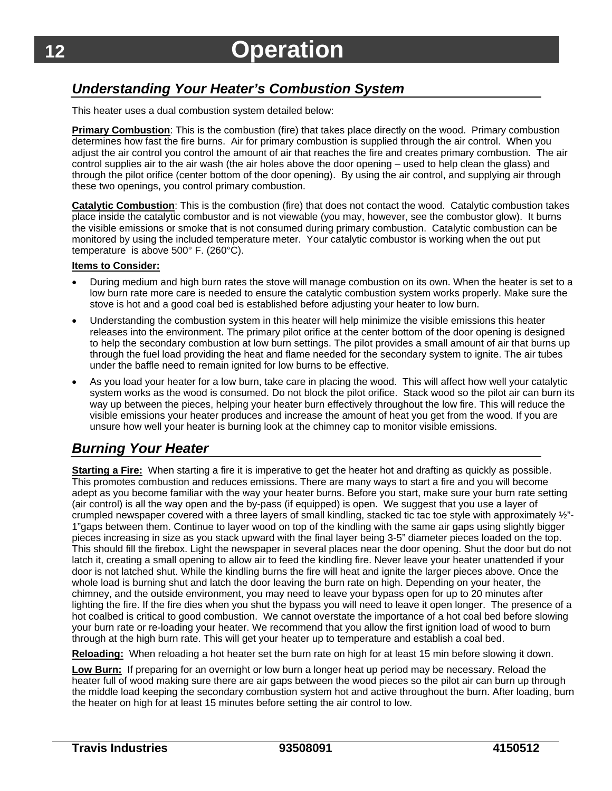## <span id="page-13-0"></span>*Understanding Your Heater's Combustion System*

This heater uses a dual combustion system detailed below:

**Primary Combustion**: This is the combustion (fire) that takes place directly on the wood. Primary combustion determines how fast the fire burns. Air for primary combustion is supplied through the air control. When you adjust the air control you control the amount of air that reaches the fire and creates primary combustion. The air control supplies air to the air wash (the air holes above the door opening – used to help clean the glass) and through the pilot orifice (center bottom of the door opening). By using the air control, and supplying air through these two openings, you control primary combustion.

**Catalytic Combustion**: This is the combustion (fire) that does not contact the wood. Catalytic combustion takes place inside the catalytic combustor and is not viewable (you may, however, see the combustor glow). It burns the visible emissions or smoke that is not consumed during primary combustion. Catalytic combustion can be monitored by using the included temperature meter. Your catalytic combustor is working when the out put temperature is above 500° F. (260°C).

#### **Items to Consider:**

- During medium and high burn rates the stove will manage combustion on its own. When the heater is set to a low burn rate more care is needed to ensure the catalytic combustion system works properly. Make sure the stove is hot and a good coal bed is established before adjusting your heater to low burn.
- Understanding the combustion system in this heater will help minimize the visible emissions this heater releases into the environment. The primary pilot orifice at the center bottom of the door opening is designed to help the secondary combustion at low burn settings. The pilot provides a small amount of air that burns up through the fuel load providing the heat and flame needed for the secondary system to ignite. The air tubes under the baffle need to remain ignited for low burns to be effective.
- As you load your heater for a low burn, take care in placing the wood. This will affect how well your catalytic system works as the wood is consumed. Do not block the pilot orifice. Stack wood so the pilot air can burn its way up between the pieces, helping your heater burn effectively throughout the low fire. This will reduce the visible emissions your heater produces and increase the amount of heat you get from the wood. If you are unsure how well your heater is burning look at the chimney cap to monitor visible emissions.

## *Burning Your Heater*

**Starting a Fire:** When starting a fire it is imperative to get the heater hot and drafting as quickly as possible. This promotes combustion and reduces emissions. There are many ways to start a fire and you will become adept as you become familiar with the way your heater burns. Before you start, make sure your burn rate setting (air control) is all the way open and the by-pass (if equipped) is open. We suggest that you use a layer of crumpled newspaper covered with a three layers of small kindling, stacked tic tac toe style with approximately  $\frac{1}{2}$ "-1"gaps between them. Continue to layer wood on top of the kindling with the same air gaps using slightly bigger pieces increasing in size as you stack upward with the final layer being 3-5" diameter pieces loaded on the top. This should fill the firebox. Light the newspaper in several places near the door opening. Shut the door but do not latch it, creating a small opening to allow air to feed the kindling fire. Never leave your heater unattended if your door is not latched shut. While the kindling burns the fire will heat and ignite the larger pieces above. Once the whole load is burning shut and latch the door leaving the burn rate on high. Depending on your heater, the chimney, and the outside environment, you may need to leave your bypass open for up to 20 minutes after lighting the fire. If the fire dies when you shut the bypass you will need to leave it open longer. The presence of a hot coalbed is critical to good combustion. We cannot overstate the importance of a hot coal bed before slowing your burn rate or re-loading your heater. We recommend that you allow the first ignition load of wood to burn through at the high burn rate. This will get your heater up to temperature and establish a coal bed.

**Reloading:** When reloading a hot heater set the burn rate on high for at least 15 min before slowing it down.

**Low Burn:** If preparing for an overnight or low burn a longer heat up period may be necessary. Reload the heater full of wood making sure there are air gaps between the wood pieces so the pilot air can burn up through the middle load keeping the secondary combustion system hot and active throughout the burn. After loading, burn the heater on high for at least 15 minutes before setting the air control to low.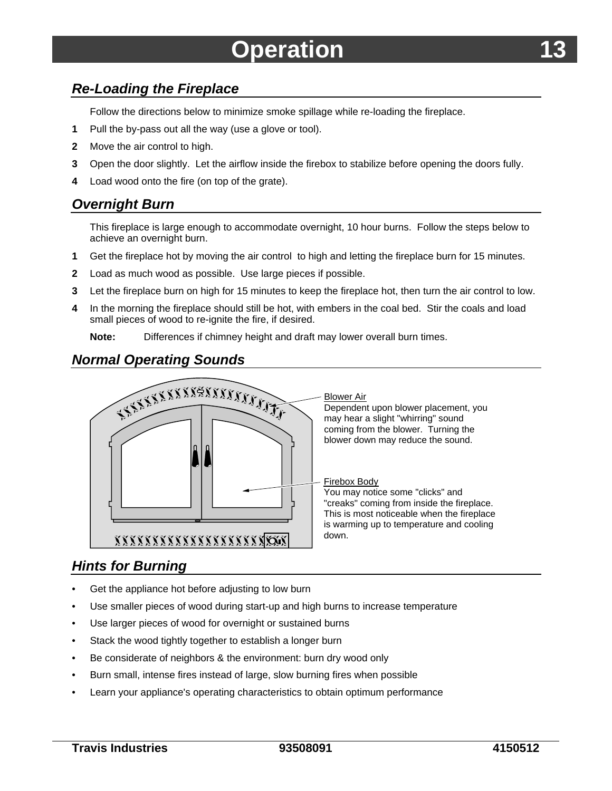## <span id="page-14-0"></span>*Re-Loading the Fireplace*

Follow the directions below to minimize smoke spillage while re-loading the fireplace.

- **1** Pull the by-pass out all the way (use a glove or tool).
- **2** Move the air control to high.
- **3** Open the door slightly. Let the airflow inside the firebox to stabilize before opening the doors fully.
- **4** Load wood onto the fire (on top of the grate).

## *Overnight Burn*

This fireplace is large enough to accommodate overnight, 10 hour burns. Follow the steps below to achieve an overnight burn.

- **1** Get the fireplace hot by moving the air control to high and letting the fireplace burn for 15 minutes.
- **2** Load as much wood as possible. Use large pieces if possible.
- **3** Let the fireplace burn on high for 15 minutes to keep the fireplace hot, then turn the air control to low.
- **4** In the morning the fireplace should still be hot, with embers in the coal bed. Stir the coals and load small pieces of wood to re-ignite the fire, if desired.

**Note:** Differences if chimney height and draft may lower overall burn times.

## *Normal Operating Sounds*



## *Hints for Burning*

- Get the appliance hot before adjusting to low burn
- Use smaller pieces of wood during start-up and high burns to increase temperature
- Use larger pieces of wood for overnight or sustained burns
- Stack the wood tightly together to establish a longer burn
- Be considerate of neighbors & the environment: burn dry wood only
- Burn small, intense fires instead of large, slow burning fires when possible
- Learn your appliance's operating characteristics to obtain optimum performance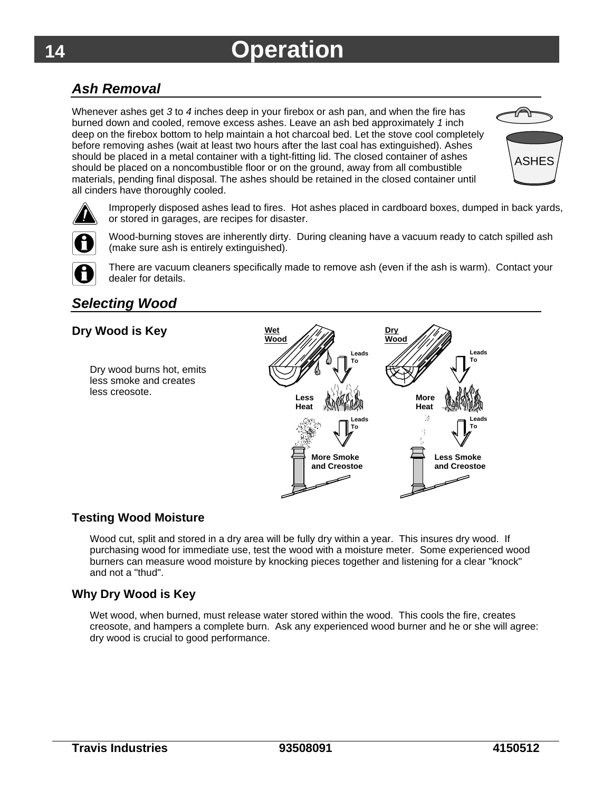## <span id="page-15-0"></span>*Ash Removal*

Whenever ashes get *3* to *4* inches deep in your firebox or ash pan, and when the fire has burned down and cooled, remove excess ashes. Leave an ash bed approximately *1* inch deep on the firebox bottom to help maintain a hot charcoal bed. Let the stove cool completely before removing ashes (wait at least two hours after the last coal has extinguished). Ashes should be placed in a metal container with a tight-fitting lid. The closed container of ashes should be placed on a noncombustible floor or on the ground, away from all combustible materials, pending final disposal. The ashes should be retained in the closed container until all cinders have thoroughly cooled.





Improperly disposed ashes lead to fires. Hot ashes placed in cardboard boxes, dumped in back yards, or stored in garages, are recipes for disaster.



Wood-burning stoves are inherently dirty. During cleaning have a vacuum ready to catch spilled ash (make sure ash is entirely extinguished).



There are vacuum cleaners specifically made to remove ash (even if the ash is warm). Contact your dealer for details.

## *Selecting Wood*

### **Dry Wood is Key**

Dry wood burns hot, emits less smoke and creates less creosote.



### **Testing Wood Moisture**

Wood cut, split and stored in a dry area will be fully dry within a year. This insures dry wood. If purchasing wood for immediate use, test the wood with a moisture meter. Some experienced wood burners can measure wood moisture by knocking pieces together and listening for a clear "knock" and not a "thud".

#### **Why Dry Wood is Key**

Wet wood, when burned, must release water stored within the wood. This cools the fire, creates creosote, and hampers a complete burn. Ask any experienced wood burner and he or she will agree: dry wood is crucial to good performance.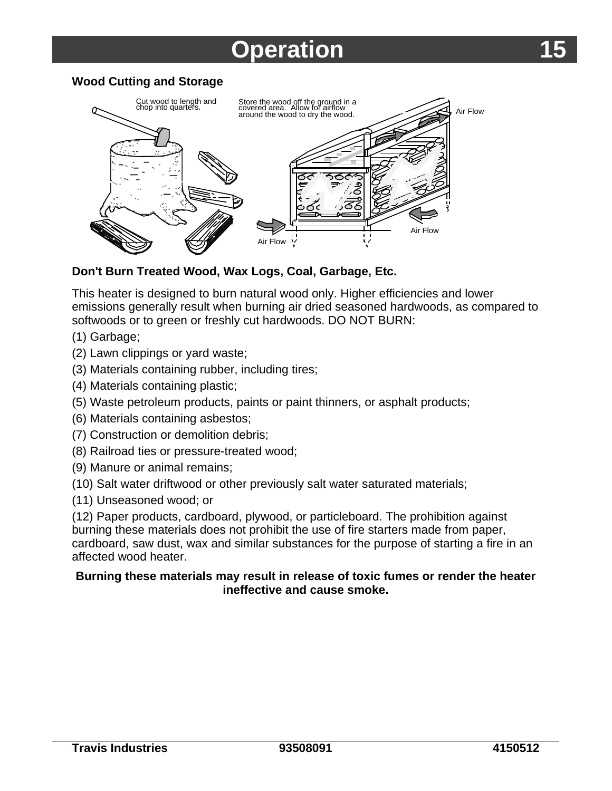### <span id="page-16-0"></span>**Wood Cutting and Storage**



### **Don't Burn Treated Wood, Wax Logs, Coal, Garbage, Etc.**

This heater is designed to burn natural wood only. Higher efficiencies and lower emissions generally result when burning air dried seasoned hardwoods, as compared to softwoods or to green or freshly cut hardwoods. DO NOT BURN:

- (1) Garbage;
- (2) Lawn clippings or yard waste;
- (3) Materials containing rubber, including tires;
- (4) Materials containing plastic;
- (5) Waste petroleum products, paints or paint thinners, or asphalt products;
- (6) Materials containing asbestos;
- (7) Construction or demolition debris;
- (8) Railroad ties or pressure-treated wood;
- (9) Manure or animal remains;
- (10) Salt water driftwood or other previously salt water saturated materials;
- (11) Unseasoned wood; or

(12) Paper products, cardboard, plywood, or particleboard. The prohibition against burning these materials does not prohibit the use of fire starters made from paper, cardboard, saw dust, wax and similar substances for the purpose of starting a fire in an affected wood heater.

### **Burning these materials may result in release of toxic fumes or render the heater ineffective and cause smoke.**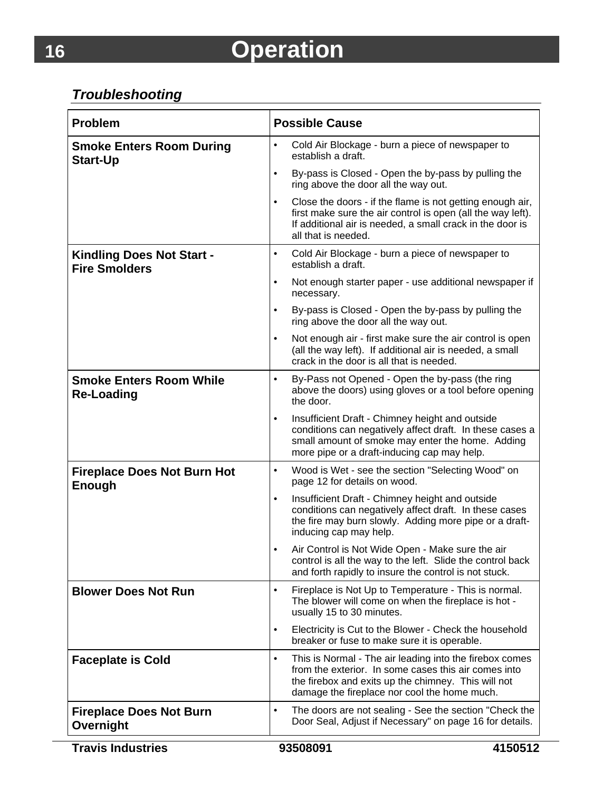## *Troubleshooting*

| <b>Problem</b>                                           | <b>Possible Cause</b>                                                                                                                                                                                                               |
|----------------------------------------------------------|-------------------------------------------------------------------------------------------------------------------------------------------------------------------------------------------------------------------------------------|
| <b>Smoke Enters Room During</b><br><b>Start-Up</b>       | $\bullet$<br>Cold Air Blockage - burn a piece of newspaper to<br>establish a draft.                                                                                                                                                 |
|                                                          | By-pass is Closed - Open the by-pass by pulling the<br>$\bullet$<br>ring above the door all the way out.                                                                                                                            |
|                                                          | Close the doors - if the flame is not getting enough air,<br>$\bullet$<br>first make sure the air control is open (all the way left).<br>If additional air is needed, a small crack in the door is<br>all that is needed.           |
| <b>Kindling Does Not Start -</b><br><b>Fire Smolders</b> | $\bullet$<br>Cold Air Blockage - burn a piece of newspaper to<br>establish a draft.                                                                                                                                                 |
|                                                          | Not enough starter paper - use additional newspaper if<br>$\bullet$<br>necessary.                                                                                                                                                   |
|                                                          | By-pass is Closed - Open the by-pass by pulling the<br>$\bullet$<br>ring above the door all the way out.                                                                                                                            |
|                                                          | Not enough air - first make sure the air control is open<br>(all the way left). If additional air is needed, a small<br>crack in the door is all that is needed.                                                                    |
| <b>Smoke Enters Room While</b><br><b>Re-Loading</b>      | By-Pass not Opened - Open the by-pass (the ring<br>$\bullet$<br>above the doors) using gloves or a tool before opening<br>the door.                                                                                                 |
|                                                          | Insufficient Draft - Chimney height and outside<br>$\bullet$<br>conditions can negatively affect draft. In these cases a<br>small amount of smoke may enter the home. Adding<br>more pipe or a draft-inducing cap may help.         |
| <b>Fireplace Does Not Burn Hot</b><br>Enough             | Wood is Wet - see the section "Selecting Wood" on<br>$\bullet$<br>page 12 for details on wood.                                                                                                                                      |
|                                                          | Insufficient Draft - Chimney height and outside<br>$\bullet$<br>conditions can negatively affect draft. In these cases<br>the fire may burn slowly. Adding more pipe or a draft-<br>inducing cap may help.                          |
|                                                          | Air Control is Not Wide Open - Make sure the air<br>control is all the way to the left. Slide the control back<br>and forth rapidly to insure the control is not stuck.                                                             |
| <b>Blower Does Not Run</b>                               | Fireplace is Not Up to Temperature - This is normal.<br>$\bullet$<br>The blower will come on when the fireplace is hot -<br>usually 15 to 30 minutes.                                                                               |
|                                                          | Electricity is Cut to the Blower - Check the household<br>$\bullet$<br>breaker or fuse to make sure it is operable.                                                                                                                 |
| <b>Faceplate is Cold</b>                                 | This is Normal - The air leading into the firebox comes<br>$\bullet$<br>from the exterior. In some cases this air comes into<br>the firebox and exits up the chimney. This will not<br>damage the fireplace nor cool the home much. |
| <b>Fireplace Does Not Burn</b><br>Overnight              | The doors are not sealing - See the section "Check the<br>$\bullet$<br>Door Seal, Adjust if Necessary" on page 16 for details.                                                                                                      |

**Travis Industries 93508091 4150512**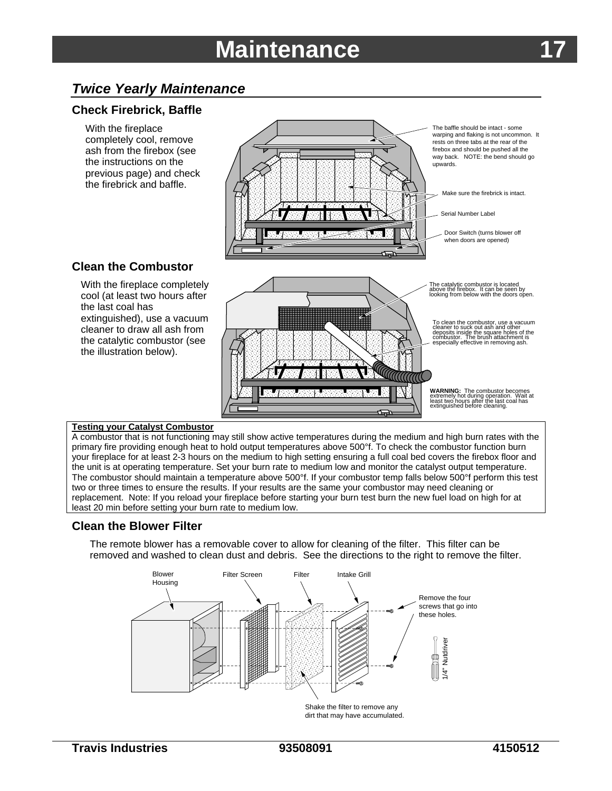## **Maintenance**

## *Twice Yearly Maintenance*

### **Check Firebrick, Baffle**

With the fireplace completely cool, remove ash from the firebox (see the instructions on the previous page) and check the firebrick and baffle.



The baffle should be intact - some warping and flaking is not uncommon. It rests on three tabs at the rear of the firebox and should be pushed all the way back. NOTE: the bend should go upwards.

Make sure the firebrick is intact.

Serial Number Label

Door Switch (turns blower off when doors are opened)

### **Clean the Combustor**

With the fireplace completely cool (at least two hours after the last coal has extinguished), use a vacuum cleaner to draw all ash from the catalytic combustor (see the illustration below).



#### **Testing your Catalyst Combustor**

A combustor that is not functioning may still show active temperatures during the medium and high burn rates with the primary fire providing enough heat to hold output temperatures above 500°f. To check the combustor function burn your fireplace for at least 2-3 hours on the medium to high setting ensuring a full coal bed covers the firebox floor and the unit is at operating temperature. Set your burn rate to medium low and monitor the catalyst output temperature. The combustor should maintain a temperature above 500°f. If your combustor temp falls below 500°f perform this test two or three times to ensure the results. If your results are the same your combustor may need cleaning or replacement. Note: If you reload your fireplace before starting your burn test burn the new fuel load on high for at least 20 min before setting your burn rate to medium low.

#### **Clean the Blower Filter**

The remote blower has a removable cover to allow for cleaning of the filter. This filter can be removed and washed to clean dust and debris. See the directions to the right to remove the filter.



dirt that may have accumulated.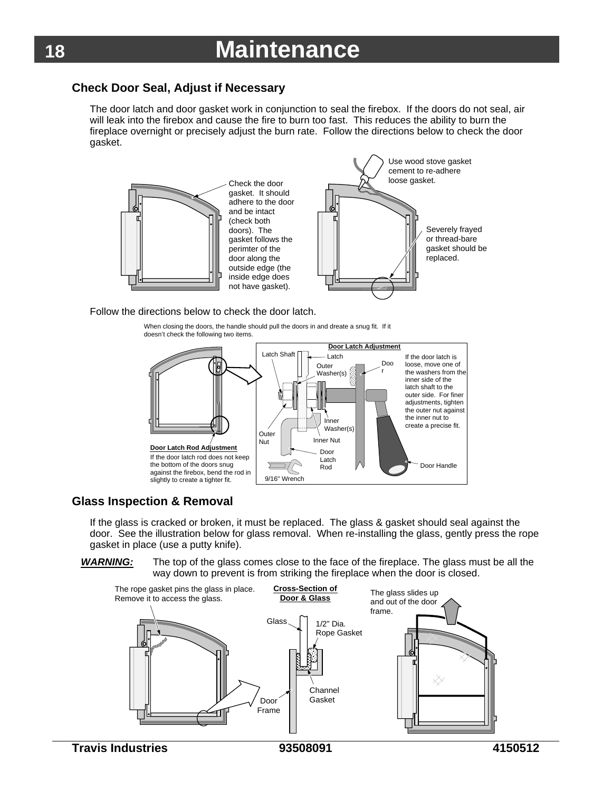### **Check Door Seal, Adjust if Necessary**

The door latch and door gasket work in conjunction to seal the firebox. If the doors do not seal, air will leak into the firebox and cause the fire to burn too fast. This reduces the ability to burn the fireplace overnight or precisely adjust the burn rate. Follow the directions below to check the door gasket.



#### Follow the directions below to check the door latch.

When closing the doors, the handle should pull the doors in and dreate a snug fit. If it doesn't check the following two items.



#### **Glass Inspection & Removal**

If the glass is cracked or broken, it must be replaced. The glass & gasket should seal against the door. See the illustration below for glass removal. When re-installing the glass, gently press the rope gasket in place (use a putty knife).

*WARNING:* The top of the glass comes close to the face of the fireplace. The glass must be all the way down to prevent is from striking the fireplace when the door is closed.

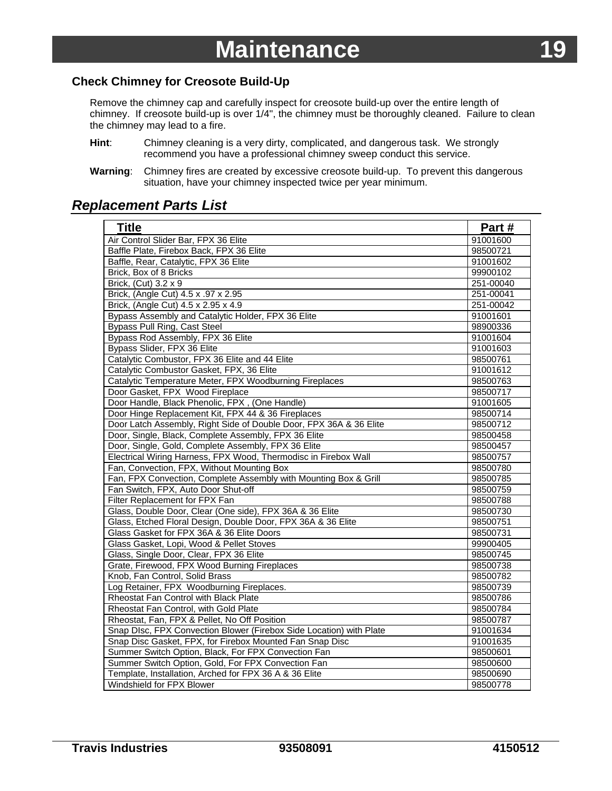### <span id="page-20-0"></span>**Check Chimney for Creosote Build-Up**

Remove the chimney cap and carefully inspect for creosote build-up over the entire length of chimney. If creosote build-up is over 1/4", the chimney must be thoroughly cleaned. Failure to clean the chimney may lead to a fire.

- **Hint**: Chimney cleaning is a very dirty, complicated, and dangerous task. We strongly recommend you have a professional chimney sweep conduct this service.
- **Warning**: Chimney fires are created by excessive creosote build-up. To prevent this dangerous situation, have your chimney inspected twice per year minimum.

### *Replacement Parts List*

| <b>Title</b>                                                        | Part#     |
|---------------------------------------------------------------------|-----------|
| Air Control Slider Bar, FPX 36 Elite                                | 91001600  |
| Baffle Plate, Firebox Back, FPX 36 Elite                            | 98500721  |
| Baffle, Rear, Catalytic, FPX 36 Elite                               | 91001602  |
| Brick, Box of 8 Bricks                                              | 99900102  |
| Brick, (Cut) 3.2 x 9                                                | 251-00040 |
| Brick, (Angle Cut) 4.5 x .97 x 2.95                                 | 251-00041 |
| Brick, (Angle Cut) 4.5 x 2.95 x 4.9                                 | 251-00042 |
| Bypass Assembly and Catalytic Holder, FPX 36 Elite                  | 91001601  |
| Bypass Pull Ring, Cast Steel                                        | 98900336  |
| Bypass Rod Assembly, FPX 36 Elite                                   | 91001604  |
| Bypass Slider, FPX 36 Elite                                         | 91001603  |
| Catalytic Combustor, FPX 36 Elite and 44 Elite                      | 98500761  |
| Catalytic Combustor Gasket, FPX, 36 Elite                           | 91001612  |
| Catalytic Temperature Meter, FPX Woodburning Fireplaces             | 98500763  |
| Door Gasket, FPX Wood Fireplace                                     | 98500717  |
| Door Handle, Black Phenolic, FPX, (One Handle)                      | 91001605  |
| Door Hinge Replacement Kit, FPX 44 & 36 Fireplaces                  | 98500714  |
| Door Latch Assembly, Right Side of Double Door, FPX 36A & 36 Elite  | 98500712  |
| Door, Single, Black, Complete Assembly, FPX 36 Elite                | 98500458  |
| Door, Single, Gold, Complete Assembly, FPX 36 Elite                 | 98500457  |
| Electrical Wiring Harness, FPX Wood, Thermodisc in Firebox Wall     | 98500757  |
| Fan, Convection, FPX, Without Mounting Box                          | 98500780  |
| Fan, FPX Convection, Complete Assembly with Mounting Box & Grill    | 98500785  |
| Fan Switch, FPX, Auto Door Shut-off                                 | 98500759  |
| Filter Replacement for FPX Fan                                      | 98500788  |
| Glass, Double Door, Clear (One side), FPX 36A & 36 Elite            | 98500730  |
| Glass, Etched Floral Design, Double Door, FPX 36A & 36 Elite        | 98500751  |
| Glass Gasket for FPX 36A & 36 Elite Doors                           | 98500731  |
| Glass Gasket, Lopi, Wood & Pellet Stoves                            | 99900405  |
| Glass, Single Door, Clear, FPX 36 Elite                             | 98500745  |
| Grate, Firewood, FPX Wood Burning Fireplaces                        | 98500738  |
| Knob, Fan Control, Solid Brass                                      | 98500782  |
| Log Retainer, FPX Woodburning Fireplaces.                           | 98500739  |
| Rheostat Fan Control with Black Plate                               | 98500786  |
| Rheostat Fan Control, with Gold Plate                               | 98500784  |
| Rheostat, Fan, FPX & Pellet, No Off Position                        | 98500787  |
| Snap DIsc, FPX Convection Blower (Firebox Side Location) with Plate | 91001634  |
| Snap Disc Gasket, FPX, for Firebox Mounted Fan Snap Disc            | 91001635  |
| Summer Switch Option, Black, For FPX Convection Fan                 | 98500601  |
| Summer Switch Option, Gold, For FPX Convection Fan                  | 98500600  |
| Template, Installation, Arched for FPX 36 A & 36 Elite              | 98500690  |
| Windshield for FPX Blower                                           | 98500778  |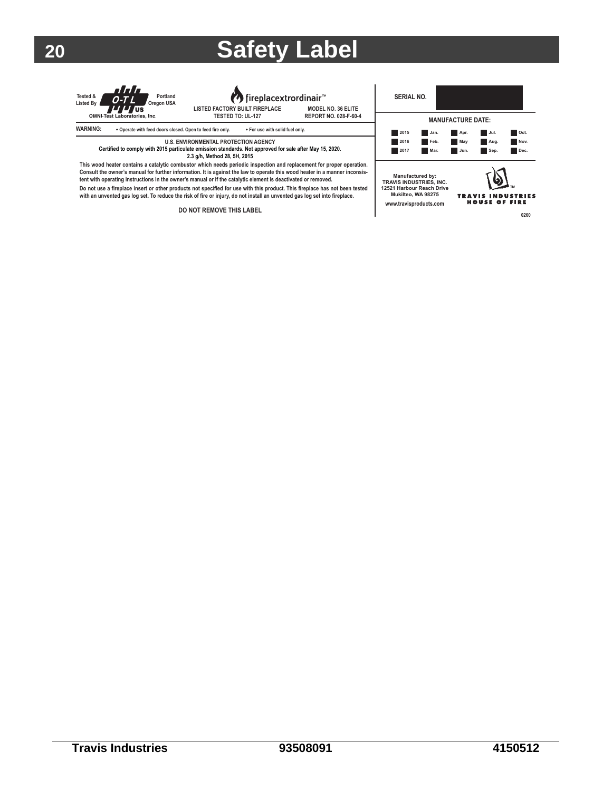## **20 Safety Label**





**TESTED TO: UL-127 MODEL NO. 36 ELITE**



**SERIAL NO. MANUFACTURE DATE: 2015 Apr. Jan. Jul. Oct. 2016 Feb. May Aug. Nov. 2017 Mar. Jun. Sep. Dec. Manufactured by: TRAVIS INDUSTRIES, INC. 12521 Harbour Reach Drive** Q **Mukilteo, WA 98275** TRAVIS INDUSTRIES<br>HOUSE OF FIRE **www.travisproducts.com 0260**

**Certified to comply with 2015 particulate emission standards. Not approved for sale after May 15, 2020. 2.3 g/h, Method 28, 5H, 2015 This wood heater contains a catalytic combustor which needs periodic inspection and replacement for proper operation.**  Consult the owner's manual for further information. It is against the law to operate this wood heater in a manner inconsis-<br>tent with operating instructions in the owner's manual or if the catalytic element is deactivated **Do not use a fireplace insert or other products not specified for use with this product. This fireplace has not been tested** 

**U.S. ENVIRONMENTAL PROTECTION AGENCY**

**with an unvented gas log set. To reduce the risk of fire or injury, do not install an unvented gas log set into fireplace.**

**DO NOT REMOVE THIS LABEL**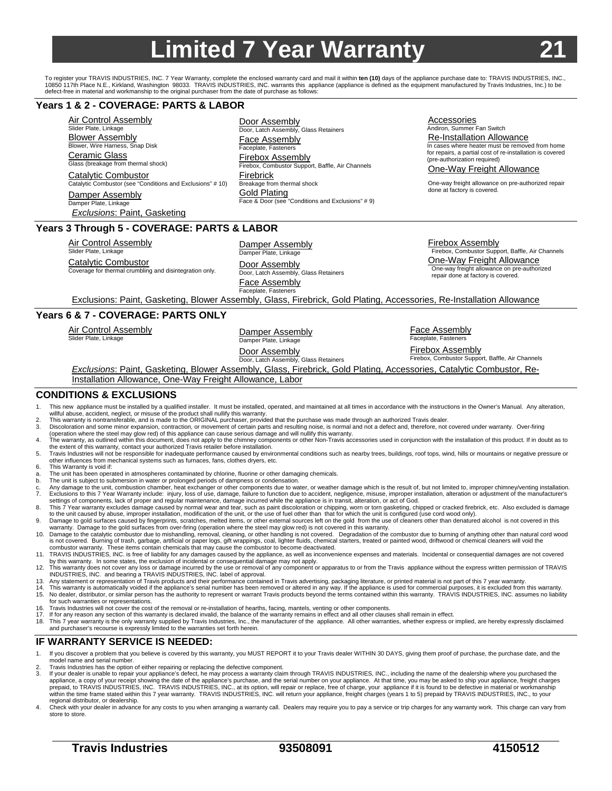## **Limited 7 Year Warranty**

Door Assembly

<span id="page-22-0"></span>To register your TRAVIS INDUSTRIES, INC. 7 Year Warranty, complete the enclosed warranty card and mail it within **ten (10)** days of the appliance purchase date to: TRAVIS INDUSTRIES, INC.,<br>10850 117th Place N.E., Kirkland, defect-free in material and workmanship to the original purchaser from the date of purchase as follows:

#### **Years 1 & 2 - COVERAGE: PARTS & LABOR**

Air Control Assembly Slider Plate, Linkage Blower Assembly Blower, Wire Harness, Snap Disk Ceramic Glass Glass (breakage from thermal shock) Catalytic Combustor

Catalytic Combustor (see "Conditions and Exclusions" # 10) Damper Assembly Damper Plate, Linkage

*Exclusions*: Paint, Gasketing

Door, Latch Assembly, Glass Retainers Face Assembly Faceplate, Fasteners Firebox Assembly Firebox, Combustor Support, Baffle, Air Channels **Firebrick** Breakage from thermal shock Gold Plating Face & Door (see "Conditions and Exclusions" # 9) **Accessories** 

Andiron, Summer Fan Switch Re-Installation Allowance In cases where heater must be removed from home for repairs, a partial cost of re-installation is covered (pre-authorization required)

One-Way Freight Allowance

One-way freight allowance on pre-authorized repair done at factory is covered.

#### **Years 3 Through 5 - COVERAGE: PARTS & LABOR**

#### Air Control Assembly

Slider Plate, Linkage Catalytic Combustor Coverage for thermal crumbling and disintegration only.

Damper Assembly Damper Plate, Linkage Door Assembly Door, Latch Assembly, Glass Retainers Face Assembly Faceplate, Fasteners

Firebox Assembly

Firebox, Combustor Support, Baffle, Air Channels One-Way Freight Allowance One-way freight allowance on pre-authorized repair done at factory is covered.

Exclusions: Paint, Gasketing, Blower Assembly, Glass, Firebrick, Gold Plating, Accessories, Re-Installation Allowance

#### **Years 6 & 7 - COVERAGE: PARTS ONLY**

Air Control Assembly<br>Slider Plate, Linkage Damper Plate, Linkage Damper Plate, Linkage Door Assembly

Door, Latch Assembly, Glass Retainers

Face Assembly Faceplate, Fasteners

Firebox Assembly Firebox, Combustor Support, Baffle, Air Channels

*Exclusions*: Paint, Gasketing, Blower Assembly, Glass, Firebrick, Gold Plating, Accessories, Catalytic Combustor, Re-Installation Allowance, One-Way Freight Allowance, Labor

#### **CONDITIONS & EXCLUSIONS**

- 1. This new appliance must be installed by a qualified installer. It must be installed, operated, and maintained at all times in accordance with the instructions in the Owner's Manual. Any alteration, willful abuse, accident, neglect, or misuse of the product shall nullify this warranty.<br>2. This warranty is nontransferable, and is made to the ORIGINAL purchaser, provided that the purchase was made through an authorized
- 
- 3. Discoloration and some minor expansion, contraction, or movement of certain parts and resulting noise, is normal and not a defect and, therefore, not covered under warranty. Over-firing (operation where the steel may glow red) of this appliance can cause serious damage and will nullify this warranty.<br>4. The warranty, as outlined within this document, does not apply to the chimney components or other Non-T
- the extent of this warranty, contact your authorized Travis retailer before installation.<br>5. Travis Industries will not be responsible for inadequate performance caused by environmental conditions such as nearby trees, bui
- other influences from mechanical systems such as furnaces, fans, clothes dryers, etc. 6. This Warranty is void if:
- 
- a. The unit has been operated in atmospheres contaminated by chlorine, fluorine or other damaging chemicals. b. The unit is subject to submersion in water or prolonged periods of dampness or condensation.
- 
- c. Any damage to the unit, combustion chamber, heat exchanger or other components due to water, or weather damage which is the result of, but not limited to, improper chimney/venting installation.<br>7. Exclusions to this 7 Y settings of components, lack of proper and regular maintenance, damage incurred while the appliance is in transit, alteration, or act of God.
- 8. This 7 Year warranty excludes damage caused by normal wear and tear, such as paint discoloration or chipping, worn or torn gasketing, chipped or cracked firebrick, etc. Also excluded is damage<br>to the unit caused by abus
- 9. Damage to gold surfaces caused by fingerprints, scratches, melted items, or other external sources left on the gold from the use of cleaners other than denatured alcohol is not covered in this<br>warranty. Damage to the go
- 10. Damage to the catalytic combustor due to mishandling, removal, cleaning, or other handling is not covered. Degradation of the combustor due to burning of anything other than natural cord wood<br>is not covered. Burning of
- 11. TRAVIS INDUSTRIES, INC. is free of liability for any damages caused by the appliance, as well as inconvenience expenses and materials. Incidental or consequential damages are not covered by this warranty. In some states, the exclusion of incidental or consequential damage may not apply.
- 12. This warranty does not cover any loss or damage incurred by the use or removal of any component or apparatus to or from the Travis appliance without the express written permission of TRAVIS INDUSTRIES, INC. and bearing a TRAVIS INDUSTRIES, INC. label of approval.
- 13. Any statement or representation of Travis products and their performance contained in Travis advertising, packaging literature, or printed material is not part of this 7 year warranty.<br>14. This warranty is automaticall
- 15. No dealer, distributor, or similar person has the authority to represent or warrant Travis products beyond the terms contained within this warranty. TRAVIS INDUSTRIES, INC. assumes no liability for such warranties or representations.
- 16. Travis Industries will not cover the cost of the removal or re-installation of hearths, facing, mantels, venting or other components.<br>17. If for any reason any section of this warranty is declared invalid, the balance
- 
- 18. This 7 year warranty is the only warranty supplied by Travis Industries, Inc., the manufacturer of the appliance. All other warranties, whether express or implied, are hereby expressly disclaimed and purchaser's recourse is expressly limited to the warranties set forth herein.

#### **IF WARRANTY SERVICE IS NEEDED:**

- 1. If you discover a problem that you believe is covered by this warranty, you MUST REPORT it to your Travis dealer WITHIN 30 DAYS, giving them proof of purchase, the purchase date, and the model name and serial number.
- 
- Travis Industries has the option of either repairing or replacing the defective component.<br>3. If your dealer is unable to repair your appliance's defect, he may process a warranty claim through TRAVIS INDUSTRIES, INC., inc
- regional distributor, or dealership.<br>4. Check with your dealer in advance for any costs to you when arranging a warranty call. Dealers may require you to pay a service or trip charges for any warranty work. This charge can store to store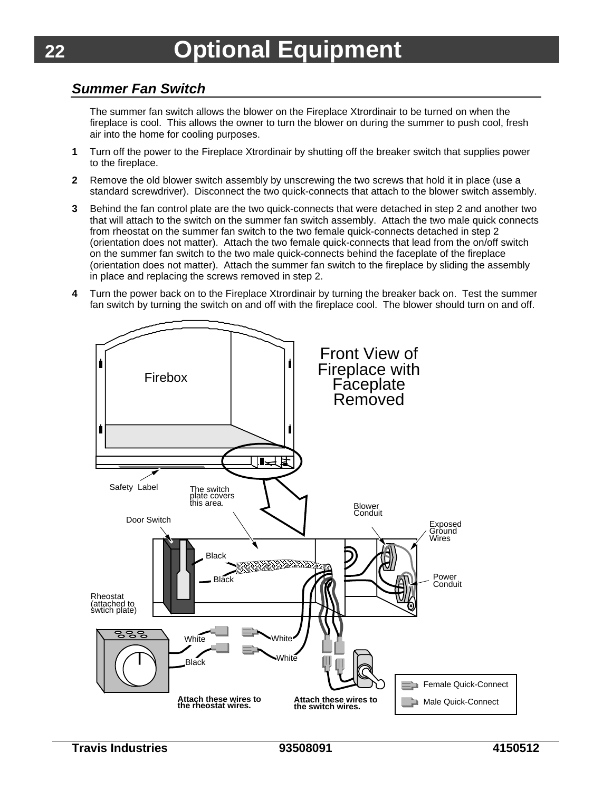## <span id="page-23-0"></span>*Summer Fan Switch*

The summer fan switch allows the blower on the Fireplace Xtrordinair to be turned on when the fireplace is cool. This allows the owner to turn the blower on during the summer to push cool, fresh air into the home for cooling purposes.

- **1** Turn off the power to the Fireplace Xtrordinair by shutting off the breaker switch that supplies power to the fireplace.
- **2** Remove the old blower switch assembly by unscrewing the two screws that hold it in place (use a standard screwdriver). Disconnect the two quick-connects that attach to the blower switch assembly.
- **3** Behind the fan control plate are the two quick-connects that were detached in step 2 and another two that will attach to the switch on the summer fan switch assembly. Attach the two male quick connects from rheostat on the summer fan switch to the two female quick-connects detached in step 2 (orientation does not matter). Attach the two female quick-connects that lead from the on/off switch on the summer fan switch to the two male quick-connects behind the faceplate of the fireplace (orientation does not matter). Attach the summer fan switch to the fireplace by sliding the assembly in place and replacing the screws removed in step 2.
- **4** Turn the power back on to the Fireplace Xtrordinair by turning the breaker back on. Test the summer fan switch by turning the switch on and off with the fireplace cool. The blower should turn on and off.